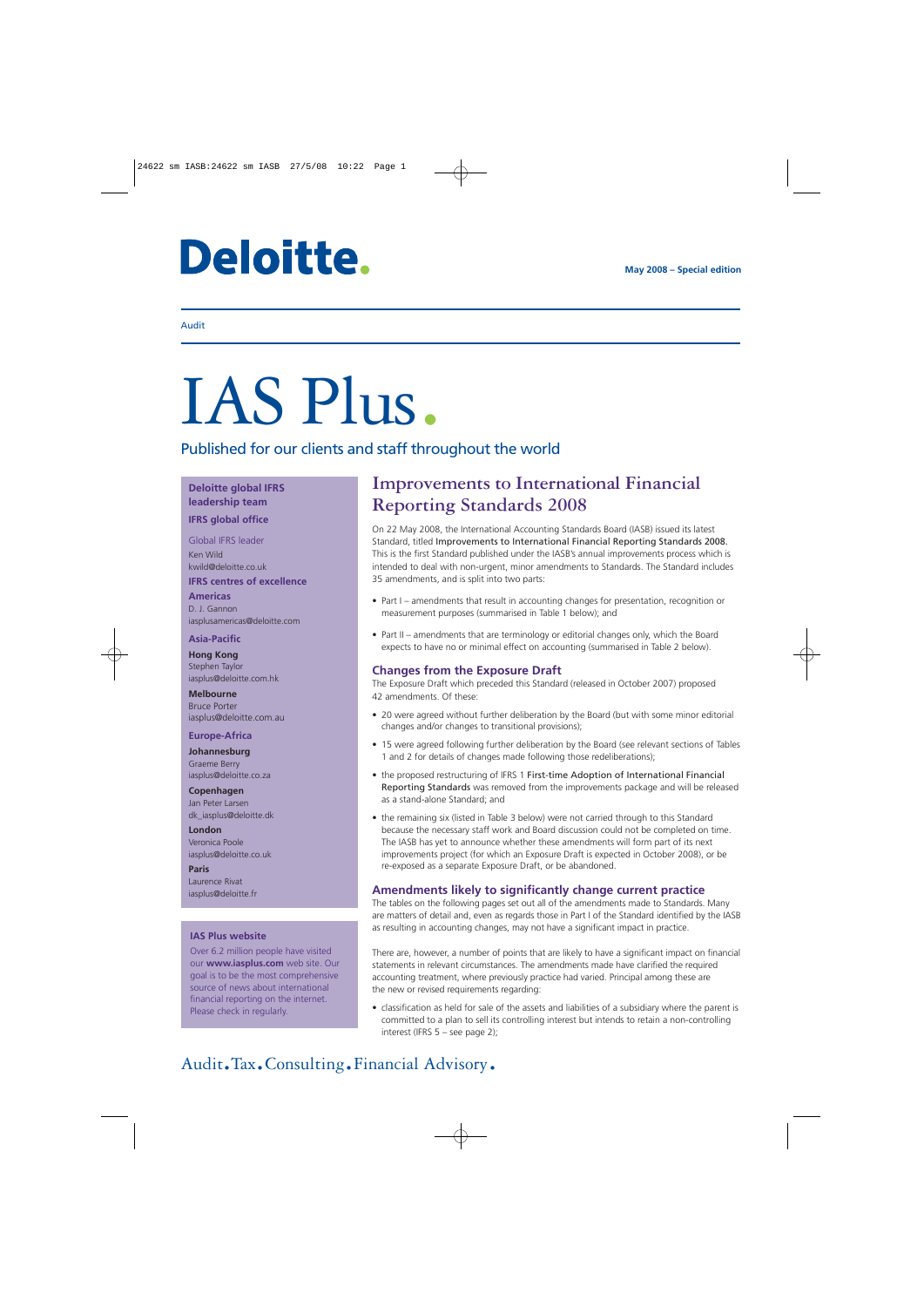## **Deloitte.**

## Audit

# IAS Plus.

Published for our clients and staff throughout the world

## **Deloitte global IFRS leadership team**

### **IFRS global office**

Global IFRS leader Ken Wild kwild@deloitte.co.uk **IFRS centres of excellence**

### **Americas** D. J. Gannon

iasplusamericas@deloitte.com

#### **Asia-Pacific**

**Hong Kong** Stephen Taylor iasplus@deloitte.com.hk

**Melbourne** Bruce Porter iasplus@deloitte.com.au

### **Europe-Africa**

**Johannesburg** Graeme Berry iasplus@deloitte.co.za

**Copenhagen** Jan Peter Larsen [dk\\_iasplus@deloitte.dk](mailto:dk_iasplus@deloitte.dk)

**London** Veronica Poole iasplus@deloitte.co.uk

**Paris** Laurence Rivat iasplus@deloitte.fr

## **IAS Plus website**

Over 6.2 million people have visited our **www.iasplus.com** web site. Our goal is to be the most comprehensive source of news about international financial reporting on the internet. Please check in regularly.

## **Improvements to International Financial Reporting Standards 2008**

On 22 May 2008, the International Accounting Standards Board (IASB) issued its latest Standard, titled Improvements to International Financial Reporting Standards 2008. This is the first Standard published under the IASB's annual improvements process which is intended to deal with non-urgent, minor amendments to Standards. The Standard includes 35 amendments, and is split into two parts:

- Part I amendments that result in accounting changes for presentation, recognition or measurement purposes (summarised in Table 1 below); and
- Part II amendments that are terminology or editorial changes only, which the Board expects to have no or minimal effect on accounting (summarised in Table 2 below).

## **Changes from the Exposure Draft**

The Exposure Draft which preceded this Standard (released in October 2007) proposed 42 amendments. Of these:

- 20 were agreed without further deliberation by the Board (but with some minor editorial changes and/or changes to transitional provisions);
- 15 were agreed following further deliberation by the Board (see relevant sections of Tables 1 and 2 for details of changes made following those redeliberations);
- the proposed restructuring of IFRS 1 First-time Adoption of International Financial Reporting Standards was removed from the improvements package and will be released as a stand-alone Standard; and
- the remaining six (listed in Table 3 below) were not carried through to this Standard because the necessary staff work and Board discussion could not be completed on time. The IASB has yet to announce whether these amendments will form part of its next improvements project (for which an Exposure Draft is expected in October 2008), or be re-exposed as a separate Exposure Draft, or be abandoned.

## **Amendments likely to significantly change current practice**

The tables on the following pages set out all of the amendments made to Standards. Many are matters of detail and, even as regards those in Part I of the Standard identified by the IASB as resulting in accounting changes, may not have a significant impact in practice.

There are, however, a number of points that are likely to have a significant impact on financial statements in relevant circumstances. The amendments made have clarified the required accounting treatment, where previously practice had varied. Principal among these are the new or revised requirements regarding:

• classification as held for sale of the assets and liabilities of a subsidiary where the parent is committed to a plan to sell its controlling interest but intends to retain a non-controlling interest (IFRS 5 – see page 2);

## Audit.Tax.Consulting.Financial Advisory.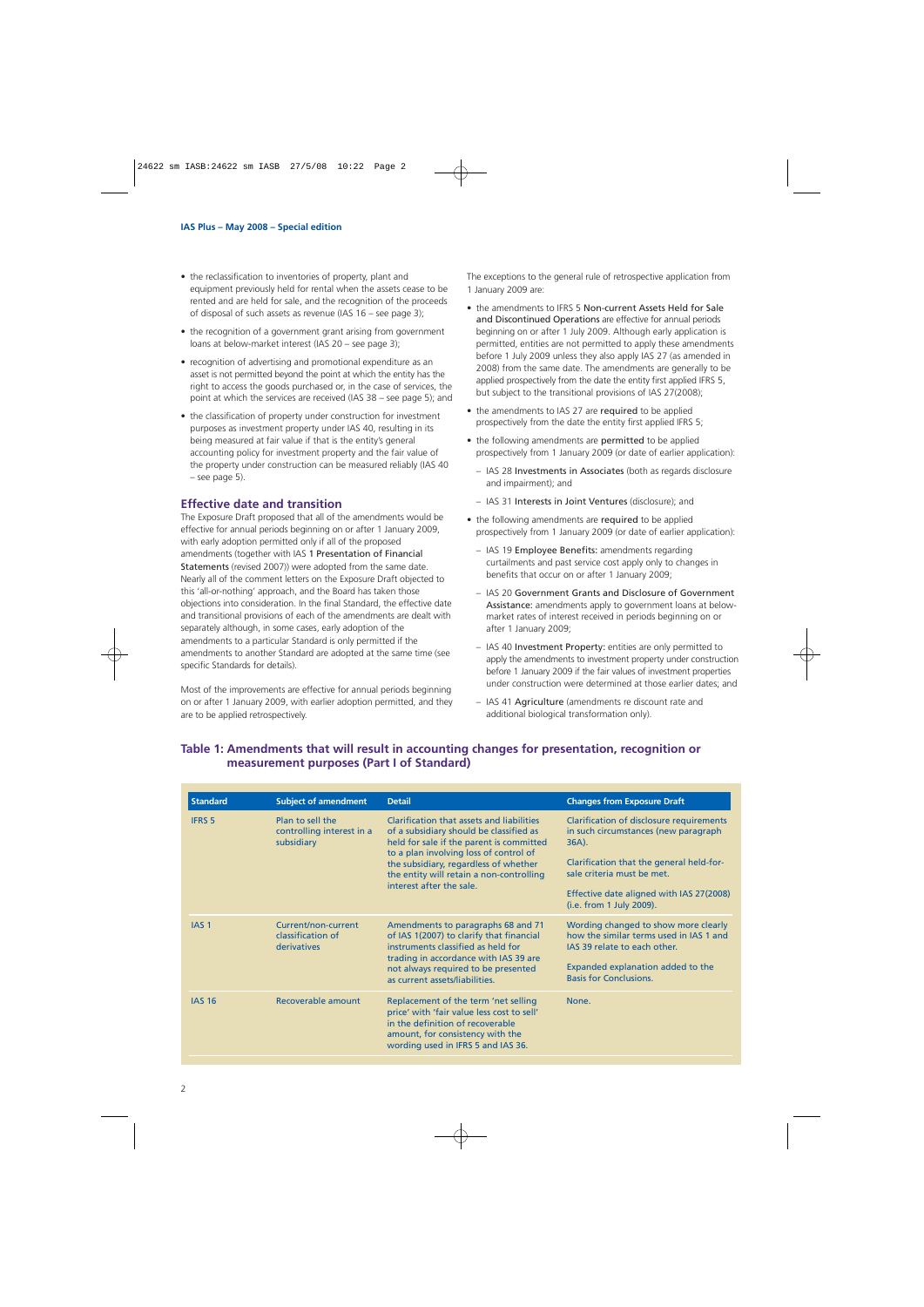- the reclassification to inventories of property, plant and equipment previously held for rental when the assets cease to be rented and are held for sale, and the recognition of the proceeds of disposal of such assets as revenue (IAS 16 – see page 3);
- the recognition of a government grant arising from government loans at below-market interest (IAS 20 – see page 3);
- recognition of advertising and promotional expenditure as an asset is not permitted beyond the point at which the entity has the right to access the goods purchased or, in the case of services, the point at which the services are received (IAS 38 – see page 5); and
- the classification of property under construction for investment purposes as investment property under IAS 40, resulting in its being measured at fair value if that is the entity's general accounting policy for investment property and the fair value of the property under construction can be measured reliably (IAS 40 – see page 5).

## **Effective date and transition**

The Exposure Draft proposed that all of the amendments would be effective for annual periods beginning on or after 1 January 2009, with early adoption permitted only if all of the proposed amendments (together with IAS 1 Presentation of Financial Statements (revised 2007)) were adopted from the same date. Nearly all of the comment letters on the Exposure Draft objected to this 'all-or-nothing' approach, and the Board has taken those objections into consideration. In the final Standard, the effective date and transitional provisions of each of the amendments are dealt with separately although, in some cases, early adoption of the amendments to a particular Standard is only permitted if the amendments to another Standard are adopted at the same time (see specific Standards for details).

Most of the improvements are effective for annual periods beginning on or after 1 January 2009, with earlier adoption permitted, and they are to be applied retrospectively.

The exceptions to the general rule of retrospective application from 1 January 2009 are:

- the amendments to IFRS 5 Non-current Assets Held for Sale and Discontinued Operations are effective for annual periods beginning on or after 1 July 2009. Although early application is permitted, entities are not permitted to apply these amendments before 1 July 2009 unless they also apply IAS 27 (as amended in 2008) from the same date. The amendments are generally to be applied prospectively from the date the entity first applied IFRS 5, but subject to the transitional provisions of IAS 27(2008);
- the amendments to IAS 27 are required to be applied prospectively from the date the entity first applied IFRS 5;
- the following amendments are permitted to be applied prospectively from 1 January 2009 (or date of earlier application):
	- IAS 28 Investments in Associates (both as regards disclosure and impairment); and
	- IAS 31 Interests in Joint Ventures (disclosure); and
- the following amendments are required to be applied prospectively from 1 January 2009 (or date of earlier application):
	- IAS 19 Employee Benefits: amendments regarding curtailments and past service cost apply only to changes in benefits that occur on or after 1 January 2009;
	- IAS 20 Government Grants and Disclosure of Government Assistance: amendments apply to government loans at belowmarket rates of interest received in periods beginning on or after 1 January 2009;
	- IAS 40 Investment Property: entities are only permitted to apply the amendments to investment property under construction before 1 January 2009 if the fair values of investment properties under construction were determined at those earlier dates; and
	- IAS 41 Agriculture (amendments re discount rate and additional biological transformation only).

## **Table 1: Amendments that will result in accounting changes for presentation, recognition or measurement purposes (Part I of Standard)**

| <b>Standard</b>  | <b>Subject of amendment</b>                                 | <b>Detail</b>                                                                                                                                                                                                                                                                               | <b>Changes from Exposure Draft</b>                                                                                                                                                                                                             |
|------------------|-------------------------------------------------------------|---------------------------------------------------------------------------------------------------------------------------------------------------------------------------------------------------------------------------------------------------------------------------------------------|------------------------------------------------------------------------------------------------------------------------------------------------------------------------------------------------------------------------------------------------|
| <b>IFRS 5</b>    | Plan to sell the<br>controlling interest in a<br>subsidiary | Clarification that assets and liabilities<br>of a subsidiary should be classified as<br>held for sale if the parent is committed<br>to a plan involving loss of control of<br>the subsidiary, regardless of whether<br>the entity will retain a non-controlling<br>interest after the sale. | Clarification of disclosure requirements<br>in such circumstances (new paragraph<br>$36A$ ).<br>Clarification that the general held-for-<br>sale criteria must be met.<br>Effective date aligned with IAS 27(2008)<br>(i.e. from 1 July 2009). |
| IAS <sub>1</sub> | Current/non-current<br>classification of<br>derivatives     | Amendments to paragraphs 68 and 71<br>of IAS 1(2007) to clarify that financial<br>instruments classified as held for<br>trading in accordance with IAS 39 are<br>not always required to be presented<br>as current assets/liabilities.                                                      | Wording changed to show more clearly<br>how the similar terms used in IAS 1 and<br>JAS 39 relate to each other.<br>Expanded explanation added to the<br><b>Basis for Conclusions.</b>                                                          |
| <b>IAS 16</b>    | Recoverable amount                                          | Replacement of the term 'net selling<br>price' with 'fair value less cost to sell'<br>in the definition of recoverable<br>amount, for consistency with the<br>wording used in IFRS 5 and IAS 36.                                                                                            | None.                                                                                                                                                                                                                                          |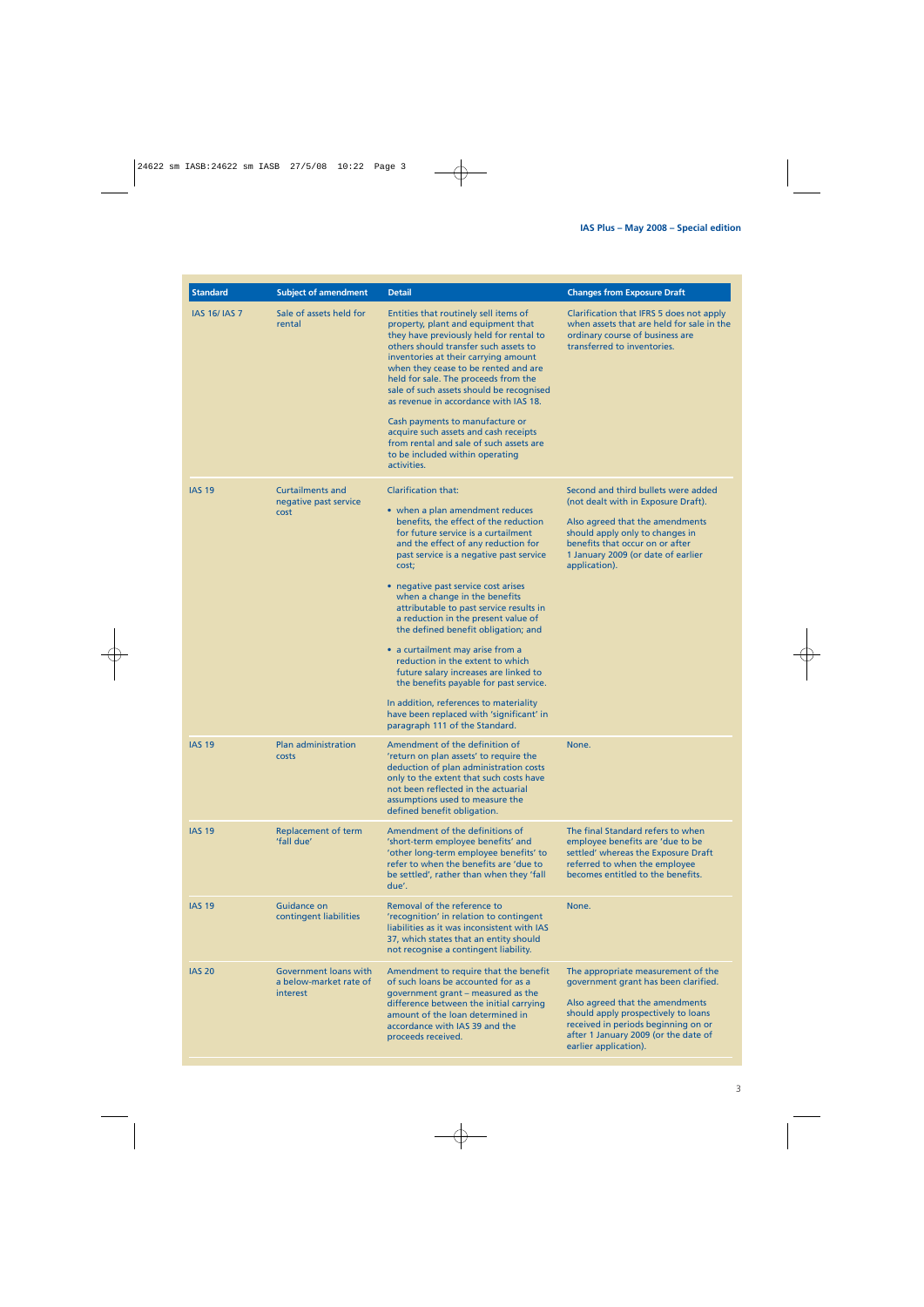| <b>Standard</b>      | <b>Subject of amendment</b>                                 | <b>Detail</b>                                                                                                                                                                                                                                                                                                                                                                                                                                                                                                                                                                                                                                                                                                                | <b>Changes from Exposure Draft</b>                                                                                                                                                                                                                           |
|----------------------|-------------------------------------------------------------|------------------------------------------------------------------------------------------------------------------------------------------------------------------------------------------------------------------------------------------------------------------------------------------------------------------------------------------------------------------------------------------------------------------------------------------------------------------------------------------------------------------------------------------------------------------------------------------------------------------------------------------------------------------------------------------------------------------------------|--------------------------------------------------------------------------------------------------------------------------------------------------------------------------------------------------------------------------------------------------------------|
| <b>IAS 16/ IAS 7</b> | Sale of assets held for<br>rental                           | Entities that routinely sell items of<br>property, plant and equipment that<br>they have previously held for rental to<br>others should transfer such assets to<br>inventories at their carrying amount<br>when they cease to be rented and are<br>held for sale. The proceeds from the<br>sale of such assets should be recognised<br>as revenue in accordance with IAS 18.<br>Cash payments to manufacture or<br>acquire such assets and cash receipts<br>from rental and sale of such assets are<br>to be included within operating<br>activities.                                                                                                                                                                        | Clarification that IFRS 5 does not apply<br>when assets that are held for sale in the<br>ordinary course of business are<br>transferred to inventories.                                                                                                      |
| <b>IAS 19</b>        | <b>Curtailments and</b><br>negative past service<br>cost    | <b>Clarification that:</b><br>• when a plan amendment reduces<br>benefits, the effect of the reduction<br>for future service is a curtailment<br>and the effect of any reduction for<br>past service is a negative past service<br>cost;<br>• negative past service cost arises<br>when a change in the benefits<br>attributable to past service results in<br>a reduction in the present value of<br>the defined benefit obligation; and<br>• a curtailment may arise from a<br>reduction in the extent to which<br>future salary increases are linked to<br>the benefits payable for past service.<br>In addition, references to materiality<br>have been replaced with 'significant' in<br>paragraph 111 of the Standard. | Second and third bullets were added<br>(not dealt with in Exposure Draft).<br>Also agreed that the amendments<br>should apply only to changes in<br>benefits that occur on or after<br>1 January 2009 (or date of earlier<br>application).                   |
| <b>IAS 19</b>        | <b>Plan administration</b><br>costs                         | Amendment of the definition of<br>'return on plan assets' to require the<br>deduction of plan administration costs<br>only to the extent that such costs have<br>not been reflected in the actuarial<br>assumptions used to measure the<br>defined benefit obligation.                                                                                                                                                                                                                                                                                                                                                                                                                                                       | None.                                                                                                                                                                                                                                                        |
| <b>IAS 19</b>        | Replacement of term<br>'fall due'                           | Amendment of the definitions of<br>'short-term employee benefits' and<br>'other long-term employee benefits' to<br>refer to when the benefits are 'due to<br>be settled', rather than when they 'fall<br>due'.                                                                                                                                                                                                                                                                                                                                                                                                                                                                                                               | The final Standard refers to when<br>employee benefits are 'due to be<br>settled' whereas the Exposure Draft<br>referred to when the employee<br>becomes entitled to the benefits.                                                                           |
| <b>IAS 19</b>        | <b>Guidance on</b><br>contingent liabilities                | Removal of the reference to<br>'recognition' in relation to contingent<br>liabilities as it was inconsistent with IAS<br>37, which states that an entity should<br>not recognise a contingent liability.                                                                                                                                                                                                                                                                                                                                                                                                                                                                                                                     | None.                                                                                                                                                                                                                                                        |
| <b>IAS 20</b>        | Government loans with<br>a below-market rate of<br>interest | Amendment to require that the benefit<br>of such loans be accounted for as a<br>government grant - measured as the<br>difference between the initial carrying<br>amount of the loan determined in<br>accordance with IAS 39 and the<br>proceeds received.                                                                                                                                                                                                                                                                                                                                                                                                                                                                    | The appropriate measurement of the<br>government grant has been clarified.<br>Also agreed that the amendments<br>should apply prospectively to loans<br>received in periods beginning on or<br>after 1 January 2009 (or the date of<br>earlier application). |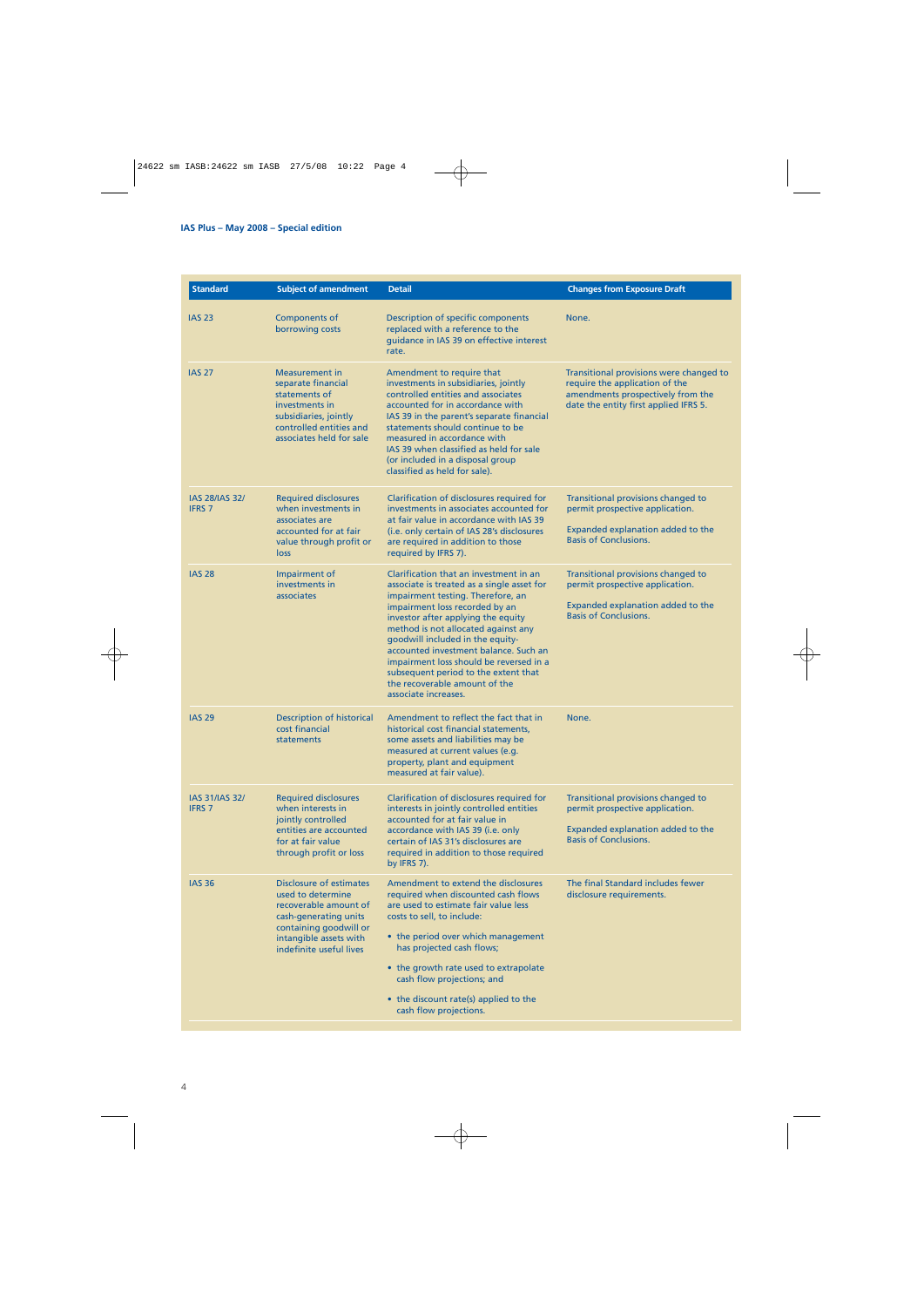| <b>Standard</b>                        | <b>Subject of amendment</b>                                                                                                                                                   | <b>Detail</b>                                                                                                                                                                                                                                                                                                                                                                                                                                                     | <b>Changes from Exposure Draft</b>                                                                                                                      |
|----------------------------------------|-------------------------------------------------------------------------------------------------------------------------------------------------------------------------------|-------------------------------------------------------------------------------------------------------------------------------------------------------------------------------------------------------------------------------------------------------------------------------------------------------------------------------------------------------------------------------------------------------------------------------------------------------------------|---------------------------------------------------------------------------------------------------------------------------------------------------------|
| <b>IAS 23</b>                          | Components of<br>borrowing costs                                                                                                                                              | Description of specific components<br>replaced with a reference to the<br>quidance in IAS 39 on effective interest<br>rate.                                                                                                                                                                                                                                                                                                                                       | None.                                                                                                                                                   |
| <b>IAS 27</b>                          | <b>Measurement in</b><br>separate financial<br>statements of<br>investments in<br>subsidiaries, jointly<br>controlled entities and<br>associates held for sale                | Amendment to require that<br>investments in subsidiaries, jointly<br>controlled entities and associates<br>accounted for in accordance with<br>IAS 39 in the parent's separate financial<br>statements should continue to be<br>measured in accordance with<br>IAS 39 when classified as held for sale<br>(or included in a disposal group<br>classified as held for sale).                                                                                       | Transitional provisions were changed to<br>require the application of the<br>amendments prospectively from the<br>date the entity first applied IFRS 5. |
| <b>IAS 28/IAS 32/</b><br><b>IFRS 7</b> | <b>Required disclosures</b><br>when investments in<br>associates are<br>accounted for at fair<br>value through profit or<br>loss                                              | Clarification of disclosures required for<br>investments in associates accounted for<br>at fair value in accordance with IAS 39<br>(i.e. only certain of IAS 28's disclosures<br>are required in addition to those<br>required by IFRS 7).                                                                                                                                                                                                                        | Transitional provisions changed to<br>permit prospective application.<br>Expanded explanation added to the<br><b>Basis of Conclusions.</b>              |
| <b>IAS 28</b>                          | Impairment of<br>investments in<br>associates                                                                                                                                 | Clarification that an investment in an<br>associate is treated as a single asset for<br>impairment testing. Therefore, an<br>impairment loss recorded by an<br>investor after applying the equity<br>method is not allocated against any<br>goodwill included in the equity-<br>accounted investment balance. Such an<br>impairment loss should be reversed in a<br>subsequent period to the extent that<br>the recoverable amount of the<br>associate increases. | Transitional provisions changed to<br>permit prospective application.<br>Expanded explanation added to the<br><b>Basis of Conclusions.</b>              |
| <b>IAS 29</b>                          | <b>Description of historical</b><br>cost financial<br>statements                                                                                                              | Amendment to reflect the fact that in<br>historical cost financial statements,<br>some assets and liabilities may be<br>measured at current values (e.g.<br>property, plant and equipment<br>measured at fair value).                                                                                                                                                                                                                                             | None.                                                                                                                                                   |
| <b>IAS 31/IAS 32/</b><br><b>IFRS 7</b> | <b>Required disclosures</b><br>when interests in<br>jointly controlled<br>entities are accounted<br>for at fair value<br>through profit or loss                               | Clarification of disclosures required for<br>interests in jointly controlled entities<br>accounted for at fair value in<br>accordance with IAS 39 (i.e. only<br>certain of IAS 31's disclosures are<br>required in addition to those required<br>by IFRS 7).                                                                                                                                                                                                      | Transitional provisions changed to<br>permit prospective application.<br>Expanded explanation added to the<br><b>Basis of Conclusions.</b>              |
| <b>IAS 36</b>                          | Disclosure of estimates<br>used to determine<br>recoverable amount of<br>cash-generating units<br>containing goodwill or<br>intangible assets with<br>indefinite useful lives | Amendment to extend the disclosures<br>required when discounted cash flows<br>are used to estimate fair value less<br>costs to sell, to include:<br>• the period over which management<br>has projected cash flows;<br>• the growth rate used to extrapolate<br>cash flow projections; and                                                                                                                                                                        | The final Standard includes fewer<br>disclosure requirements.                                                                                           |
|                                        |                                                                                                                                                                               | • the discount rate(s) applied to the<br>cash flow projections.                                                                                                                                                                                                                                                                                                                                                                                                   |                                                                                                                                                         |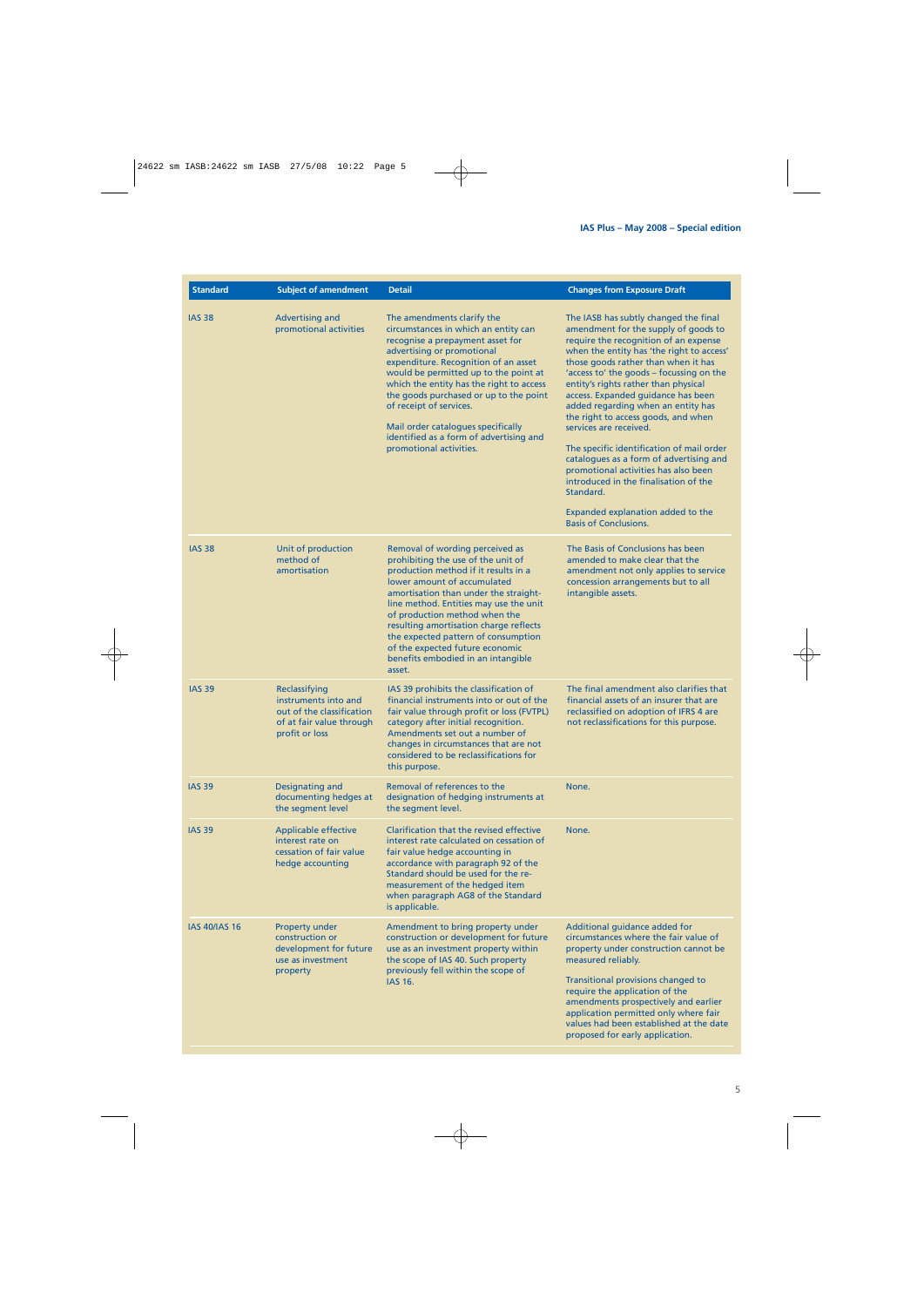| <b>Standard</b>      | <b>Subject of amendment</b>                                                                                      | <b>Detail</b>                                                                                                                                                                                                                                                                                                                                                                                                                                      | <b>Changes from Exposure Draft</b>                                                                                                                                                                                                                                                                                                                                                                                                                                                                                                                                                                                                                                                                     |
|----------------------|------------------------------------------------------------------------------------------------------------------|----------------------------------------------------------------------------------------------------------------------------------------------------------------------------------------------------------------------------------------------------------------------------------------------------------------------------------------------------------------------------------------------------------------------------------------------------|--------------------------------------------------------------------------------------------------------------------------------------------------------------------------------------------------------------------------------------------------------------------------------------------------------------------------------------------------------------------------------------------------------------------------------------------------------------------------------------------------------------------------------------------------------------------------------------------------------------------------------------------------------------------------------------------------------|
| <b>IAS 38</b>        | Advertising and<br>promotional activities                                                                        | The amendments clarify the<br>circumstances in which an entity can<br>recognise a prepayment asset for<br>advertising or promotional<br>expenditure. Recognition of an asset<br>would be permitted up to the point at<br>which the entity has the right to access<br>the goods purchased or up to the point<br>of receipt of services.<br>Mail order catalogues specifically<br>identified as a form of advertising and<br>promotional activities. | The IASB has subtly changed the final<br>amendment for the supply of goods to<br>require the recognition of an expense<br>when the entity has 'the right to access'<br>those goods rather than when it has<br>'access to' the goods - focussing on the<br>entity's rights rather than physical<br>access. Expanded guidance has been<br>added regarding when an entity has<br>the right to access goods, and when<br>services are received.<br>The specific identification of mail order<br>catalogues as a form of advertising and<br>promotional activities has also been<br>introduced in the finalisation of the<br>Standard.<br>Expanded explanation added to the<br><b>Basis of Conclusions.</b> |
| <b>IAS 38</b>        | Unit of production<br>method of<br>amortisation                                                                  | Removal of wording perceived as<br>prohibiting the use of the unit of<br>production method if it results in a<br>lower amount of accumulated<br>amortisation than under the straight-<br>line method. Entities may use the unit<br>of production method when the<br>resulting amortisation charge reflects<br>the expected pattern of consumption<br>of the expected future economic<br>benefits embodied in an intangible<br>asset.               | The Basis of Conclusions has been<br>amended to make clear that the<br>amendment not only applies to service<br>concession arrangements but to all<br>intangible assets.                                                                                                                                                                                                                                                                                                                                                                                                                                                                                                                               |
| <b>IAS 39</b>        | Reclassifying<br>instruments into and<br>out of the classification<br>of at fair value through<br>profit or loss | IAS 39 prohibits the classification of<br>financial instruments into or out of the<br>fair value through profit or loss (FVTPL)<br>category after initial recognition.<br>Amendments set out a number of<br>changes in circumstances that are not<br>considered to be reclassifications for<br>this purpose.                                                                                                                                       | The final amendment also clarifies that<br>financial assets of an insurer that are<br>reclassified on adoption of IFRS 4 are<br>not reclassifications for this purpose.                                                                                                                                                                                                                                                                                                                                                                                                                                                                                                                                |
| <b>IAS 39</b>        | Designating and<br>documenting hedges at<br>the segment level                                                    | Removal of references to the<br>designation of hedging instruments at<br>the segment level.                                                                                                                                                                                                                                                                                                                                                        | None.                                                                                                                                                                                                                                                                                                                                                                                                                                                                                                                                                                                                                                                                                                  |
| <b>IAS 39</b>        | <b>Applicable effective</b><br>interest rate on<br>cessation of fair value<br>hedge accounting                   | Clarification that the revised effective<br>interest rate calculated on cessation of<br>fair value hedge accounting in<br>accordance with paragraph 92 of the<br>Standard should be used for the re-<br>measurement of the hedged item<br>when paragraph AG8 of the Standard<br>is applicable.                                                                                                                                                     | None.                                                                                                                                                                                                                                                                                                                                                                                                                                                                                                                                                                                                                                                                                                  |
| <b>IAS 40/IAS 16</b> | <b>Property under</b><br>construction or<br>development for future<br>use as investment<br>property              | Amendment to bring property under<br>construction or development for future<br>use as an investment property within<br>the scope of IAS 40. Such property<br>previously fell within the scope of<br><b>IAS 16.</b>                                                                                                                                                                                                                                 | Additional guidance added for<br>circumstances where the fair value of<br>property under construction cannot be<br>measured reliably.<br>Transitional provisions changed to<br>require the application of the<br>amendments prospectively and earlier<br>application permitted only where fair<br>values had been established at the date<br>proposed for early application.                                                                                                                                                                                                                                                                                                                           |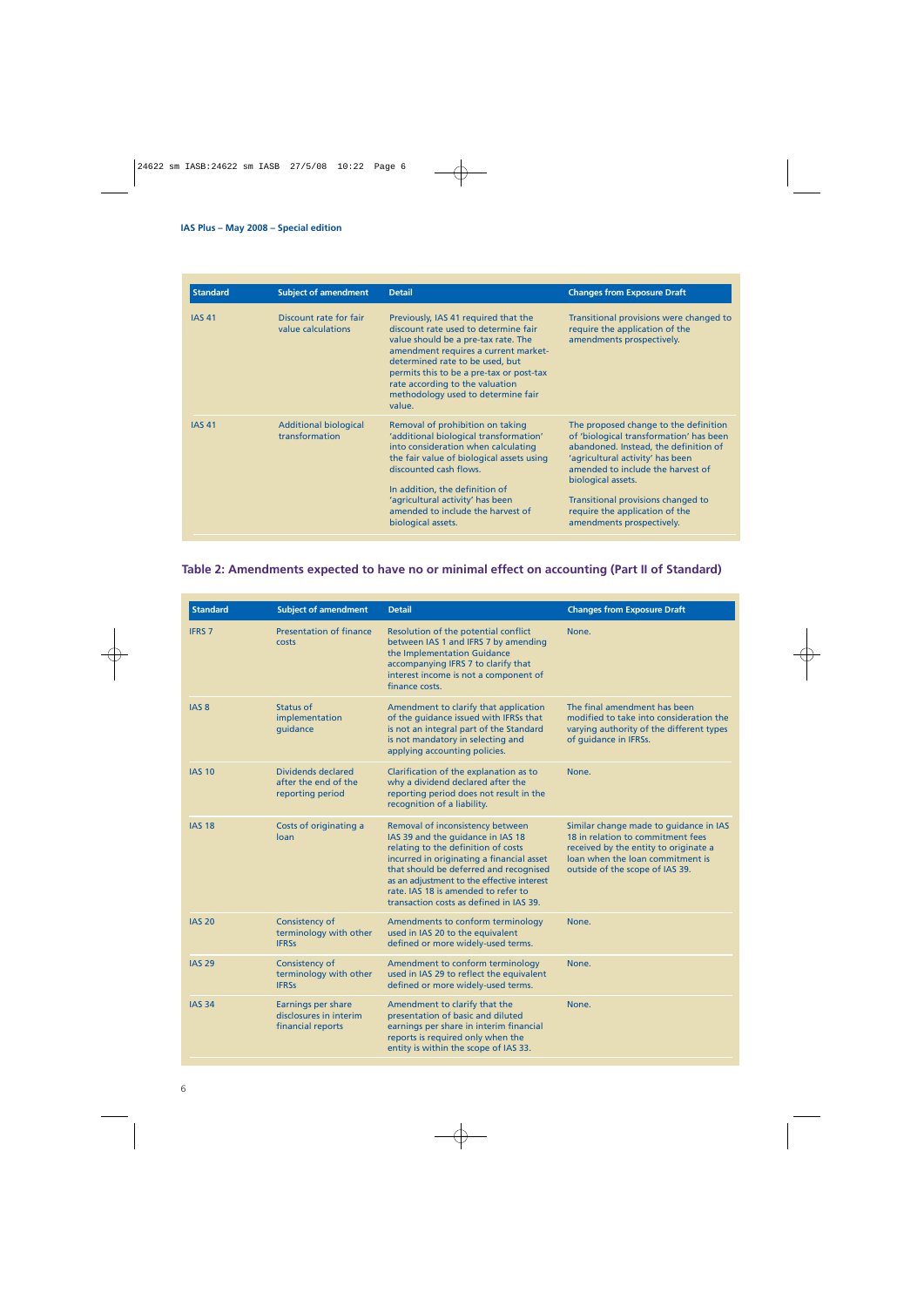| <b>Standard</b> | <b>Subject of amendment</b>                    | <b>Detail</b>                                                                                                                                                                                                                                                                                                                 | <b>Changes from Exposure Draft</b>                                                                                                                                                                                                                                                                                            |
|-----------------|------------------------------------------------|-------------------------------------------------------------------------------------------------------------------------------------------------------------------------------------------------------------------------------------------------------------------------------------------------------------------------------|-------------------------------------------------------------------------------------------------------------------------------------------------------------------------------------------------------------------------------------------------------------------------------------------------------------------------------|
| <b>IAS 41</b>   | Discount rate for fair<br>value calculations   | Previously, IAS 41 required that the<br>discount rate used to determine fair<br>value should be a pre-tax rate. The<br>amendment requires a current market-<br>determined rate to be used, but<br>permits this to be a pre-tax or post-tax<br>rate according to the valuation<br>methodology used to determine fair<br>value. | Transitional provisions were changed to<br>require the application of the<br>amendments prospectively.                                                                                                                                                                                                                        |
| <b>IAS 41</b>   | <b>Additional biological</b><br>transformation | Removal of prohibition on taking<br>'additional biological transformation'<br>into consideration when calculating<br>the fair value of biological assets using<br>discounted cash flows.<br>In addition, the definition of<br>'agricultural activity' has been<br>amended to include the harvest of<br>biological assets.     | The proposed change to the definition<br>of 'biological transformation' has been<br>abandoned. Instead, the definition of<br>'agricultural activity' has been<br>amended to include the harvest of<br>biological assets.<br>Transitional provisions changed to<br>require the application of the<br>amendments prospectively. |

## **Table 2: Amendments expected to have no or minimal effect on accounting (Part II of Standard)**

| <b>Standard</b>  | <b>Subject of amendment</b>                                           | <b>Detail</b>                                                                                                                                                                                                                                                                                                                       | <b>Changes from Exposure Draft</b>                                                                                                                                                          |
|------------------|-----------------------------------------------------------------------|-------------------------------------------------------------------------------------------------------------------------------------------------------------------------------------------------------------------------------------------------------------------------------------------------------------------------------------|---------------------------------------------------------------------------------------------------------------------------------------------------------------------------------------------|
| <b>IFRS 7</b>    | <b>Presentation of finance</b><br>costs                               | Resolution of the potential conflict<br>between IAS 1 and IFRS 7 by amending<br>the Implementation Guidance<br>accompanying IFRS 7 to clarify that<br>interest income is not a component of<br>finance costs.                                                                                                                       | None.                                                                                                                                                                                       |
| IAS <sub>8</sub> | Status of<br>implementation<br>quidance                               | Amendment to clarify that application<br>of the guidance issued with IFRSs that<br>is not an integral part of the Standard<br>is not mandatory in selecting and<br>applying accounting policies.                                                                                                                                    | The final amendment has been<br>modified to take into consideration the<br>varying authority of the different types<br>of guidance in IFRSs.                                                |
| <b>IAS 10</b>    | <b>Dividends declared</b><br>after the end of the<br>reporting period | Clarification of the explanation as to<br>why a dividend declared after the<br>reporting period does not result in the<br>recognition of a liability.                                                                                                                                                                               | None.                                                                                                                                                                                       |
| <b>IAS 18</b>    | Costs of originating a<br>loan                                        | Removal of inconsistency between<br>IAS 39 and the guidance in IAS 18<br>relating to the definition of costs<br>incurred in originating a financial asset<br>that should be deferred and recognised<br>as an adjustment to the effective interest<br>rate. IAS 18 is amended to refer to<br>transaction costs as defined in IAS 39. | Similar change made to guidance in IAS<br>18 in relation to commitment fees<br>received by the entity to originate a<br>loan when the loan commitment is<br>outside of the scope of IAS 39. |
| <b>IAS 20</b>    | Consistency of<br>terminology with other<br><b>IFRSs</b>              | Amendments to conform terminology<br>used in IAS 20 to the equivalent<br>defined or more widely-used terms.                                                                                                                                                                                                                         | None.                                                                                                                                                                                       |
| <b>IAS 29</b>    | Consistency of<br>terminology with other<br><b>IFRSs</b>              | Amendment to conform terminology<br>used in IAS 29 to reflect the equivalent<br>defined or more widely-used terms.                                                                                                                                                                                                                  | None.                                                                                                                                                                                       |
| <b>IAS 34</b>    | Earnings per share<br>disclosures in interim<br>financial reports     | Amendment to clarify that the<br>presentation of basic and diluted<br>earnings per share in interim financial<br>reports is required only when the<br>entity is within the scope of IAS 33.                                                                                                                                         | None.                                                                                                                                                                                       |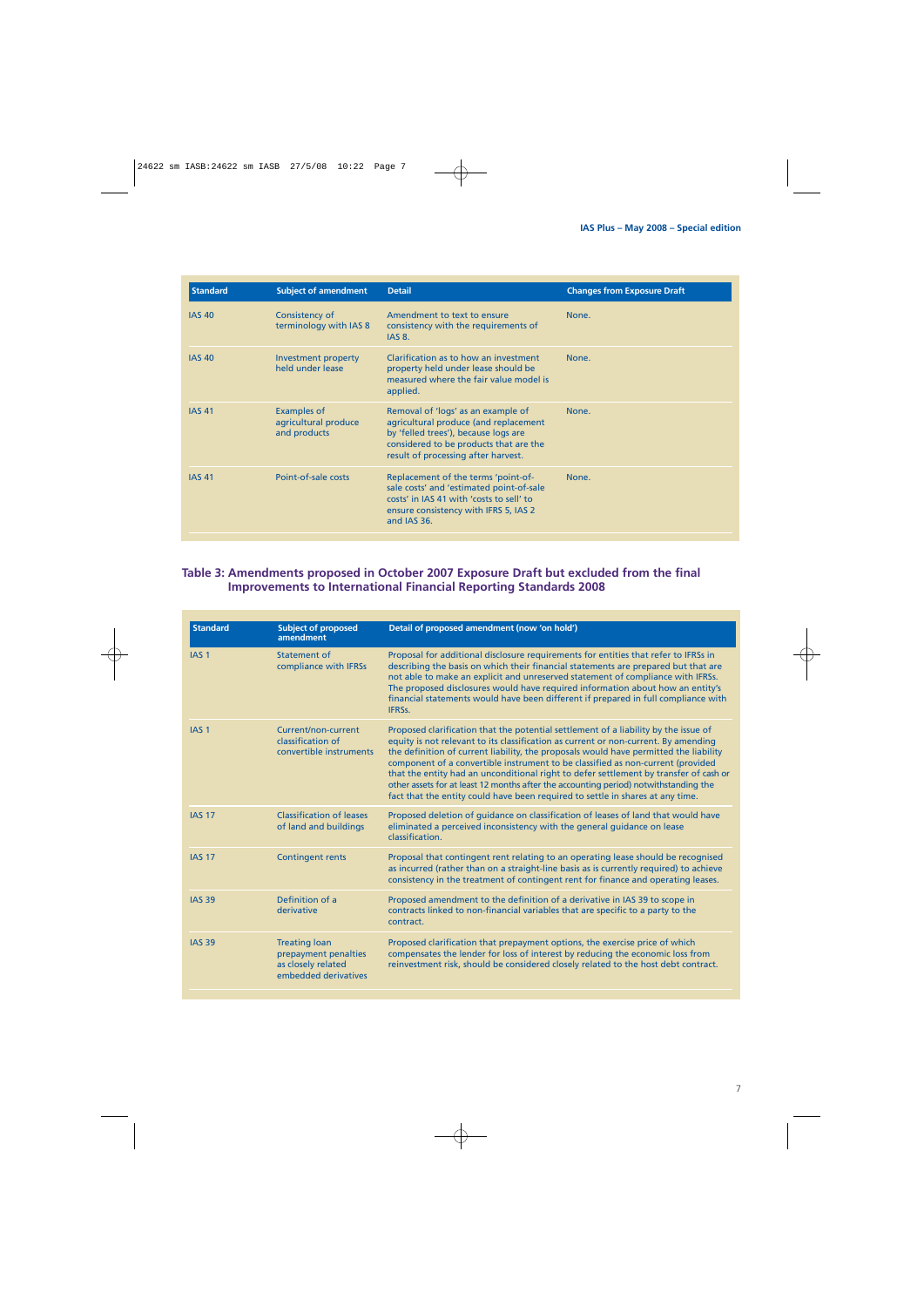| <b>Standard</b> | <b>Subject of amendment</b>                                | <b>Detail</b>                                                                                                                                                                                        | <b>Changes from Exposure Draft</b> |
|-----------------|------------------------------------------------------------|------------------------------------------------------------------------------------------------------------------------------------------------------------------------------------------------------|------------------------------------|
| <b>IAS 40</b>   | Consistency of<br>terminology with IAS 8                   | Amendment to text to ensure<br>consistency with the requirements of<br><b>IAS 8.</b>                                                                                                                 | None.                              |
| <b>IAS 40</b>   | Investment property<br>held under lease                    | Clarification as to how an investment<br>property held under lease should be<br>measured where the fair value model is<br>applied.                                                                   | None.                              |
| <b>IAS 41</b>   | <b>Examples of</b><br>agricultural produce<br>and products | Removal of 'logs' as an example of<br>agricultural produce (and replacement<br>by 'felled trees'), because logs are<br>considered to be products that are the<br>result of processing after harvest. | None.                              |
| <b>IAS 41</b>   | Point-of-sale costs                                        | Replacement of the terms 'point-of-<br>sale costs' and 'estimated point-of-sale<br>costs' in IAS 41 with 'costs to sell' to<br>ensure consistency with IFRS 5, IAS 2<br>and IAS 36.                  | None.                              |

## **Table 3: Amendments proposed in October 2007 Exposure Draft but excluded from the final Improvements to International Financial Reporting Standards 2008**

| <b>Standard</b>  | <b>Subject of proposed</b><br>amendment                                                    | Detail of proposed amendment (now 'on hold')                                                                                                                                                                                                                                                                                                                                                                                                                                                                                                                                                                              |
|------------------|--------------------------------------------------------------------------------------------|---------------------------------------------------------------------------------------------------------------------------------------------------------------------------------------------------------------------------------------------------------------------------------------------------------------------------------------------------------------------------------------------------------------------------------------------------------------------------------------------------------------------------------------------------------------------------------------------------------------------------|
| IAS <sub>1</sub> | Statement of<br>compliance with IFRSs                                                      | Proposal for additional disclosure requirements for entities that refer to IFRSs in<br>describing the basis on which their financial statements are prepared but that are<br>not able to make an explicit and unreserved statement of compliance with IFRSs.<br>The proposed disclosures would have required information about how an entity's<br>financial statements would have been different if prepared in full compliance with<br>IFRSs.                                                                                                                                                                            |
| IAS <sub>1</sub> | Current/non-current<br>classification of<br>convertible instruments                        | Proposed clarification that the potential settlement of a liability by the issue of<br>equity is not relevant to its classification as current or non-current. By amending<br>the definition of current liability, the proposals would have permitted the liability<br>component of a convertible instrument to be classified as non-current (provided<br>that the entity had an unconditional right to defer settlement by transfer of cash or<br>other assets for at least 12 months after the accounting period) notwithstanding the<br>fact that the entity could have been required to settle in shares at any time. |
| <b>IAS 17</b>    | <b>Classification of leases</b><br>of land and buildings                                   | Proposed deletion of quidance on classification of leases of land that would have<br>eliminated a perceived inconsistency with the general guidance on lease<br>classification.                                                                                                                                                                                                                                                                                                                                                                                                                                           |
| <b>IAS 17</b>    | <b>Contingent rents</b>                                                                    | Proposal that contingent rent relating to an operating lease should be recognised<br>as incurred (rather than on a straight-line basis as is currently required) to achieve<br>consistency in the treatment of contingent rent for finance and operating leases.                                                                                                                                                                                                                                                                                                                                                          |
| <b>IAS 39</b>    | Definition of a<br>derivative                                                              | Proposed amendment to the definition of a derivative in IAS 39 to scope in<br>contracts linked to non-financial variables that are specific to a party to the<br>contract.                                                                                                                                                                                                                                                                                                                                                                                                                                                |
| <b>IAS 39</b>    | <b>Treating loan</b><br>prepayment penalties<br>as closely related<br>embedded derivatives | Proposed clarification that prepayment options, the exercise price of which<br>compensates the lender for loss of interest by reducing the economic loss from<br>reinvestment risk, should be considered closely related to the host debt contract.                                                                                                                                                                                                                                                                                                                                                                       |